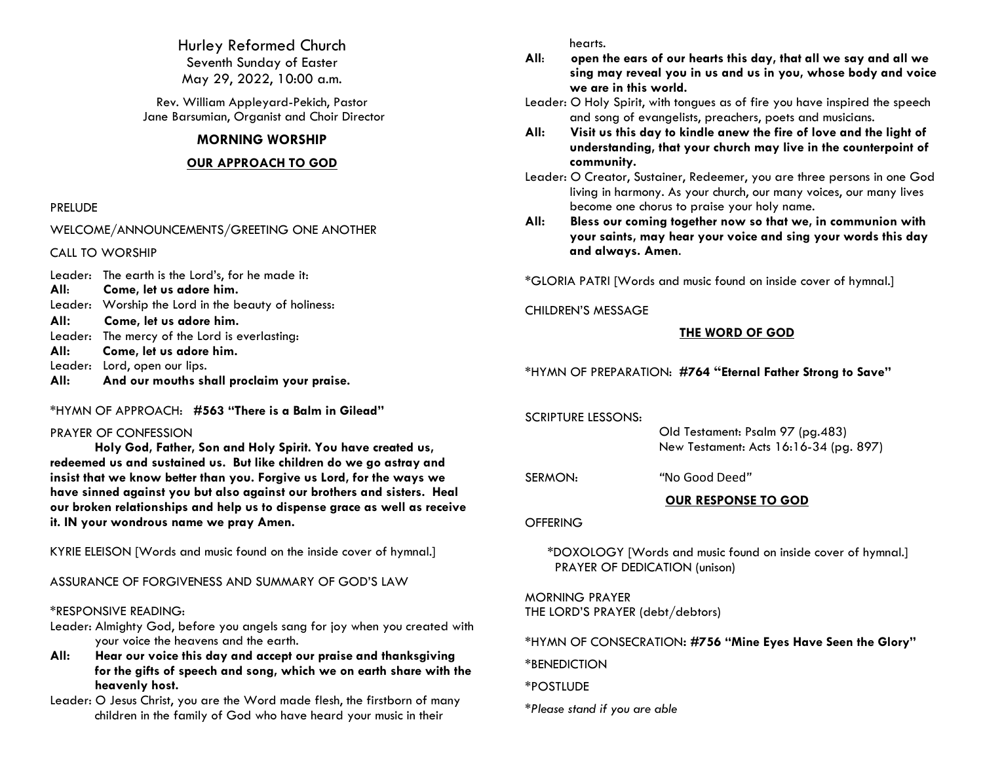Hurley Reformed Church Seventh Sunday of Easter May 29, 2022, 10:00 a.m.

Rev. William Appleyard-Pekich, Pastor Jane Barsumian, Organist and Choir Director

## **MORNING WORSHIP**

## **OUR APPROACH TO GOD**

### PRELUDE

WELCOME/ANNOUNCEMENTS/GREETING ONE ANOTHER

CALL TO WORSHIP

- Leader: The earth is the Lord's, for he made it:
- **All**: **Come, let us adore him.**
- Leader:Worship the Lord in the beauty of holiness:
- **All: Come, let us adore him.**
- Leader: The mercy of the Lord is everlasting:
- **All: Come, let us adore him.**
- Leader: Lord, open our lips.
- **All: And our mouths shall proclaim your praise.**
- \*HYMN OF APPROACH: **#563 "There is a Balm in Gilead"**

### PRAYER OF CONFESSION

**Holy God, Father, Son and Holy Spirit. You have created us, redeemed us and sustained us. But like children do we go astray and insist that we know better than you. Forgive us Lord, for the ways we have sinned against you but also against our brothers and sisters. Heal our broken relationships and help us to dispense grace as well as receive it. IN your wondrous name we pray Amen.**

KYRIE ELEISON [Words and music found on the inside cover of hymnal.]

ASSURANCE OF FORGIVENESS AND SUMMARY OF GOD'S LAW

# \*RESPONSIVE READING:

- Leader: Almighty God, before you angels sang for joy when you created with your voice the heavens and the earth.
- **All: Hear our voice this day and accept our praise and thanksgiving for the gifts of speech and song, which we on earth share with the heavenly host.**
- Leader: O Jesus Christ, you are the Word made flesh, the firstborn of many children in the family of God who have heard your music in their

hearts.

- **All**: **open the ears of our hearts this day, that all we say and all we sing may reveal you in us and us in you, whose body and voice we are in this world.**
- Leader: O Holy Spirit, with tongues as of fire you have inspired the speech and song of evangelists, preachers, poets and musicians.
- **All: Visit us this day to kindle anew the fire of love and the light of understanding, that your church may live in the counterpoint of community.**
- Leader: O Creator, Sustainer, Redeemer, you are three persons in one God living in harmony. As your church, our many voices, our many lives become one chorus to praise your holy name.
- **All: Bless our coming together now so that we, in communion with your saints, may hear your voice and sing your words this day and always. Amen**.

\*GLORIA PATRI [Words and music found on inside cover of hymnal.]

### CHILDREN'S MESSAGE

## **THE WORD OF GOD**

\*HYMN OF PREPARATION: **#764 "Eternal Father Strong to Save"**

SCRIPTURE LESSONS:

 Old Testament: Psalm 97 (pg.483) New Testament: Acts 16:16-34 (pg. 897)

SERMON: *"*No Good Deed*"*

# **OUR RESPONSE TO GOD**

### **OFFERING**

\*DOXOLOGY [Words and music found on inside cover of hymnal.] PRAYER OF DEDICATION (unison)

MORNING PRAYER THE LORD'S PRAYER (debt/debtors)

\*HYMN OF CONSECRATION**: #756 "Mine Eyes Have Seen the Glory"**

\*BENEDICTION

# \*POSTLUDE

*\*Please stand if you are able*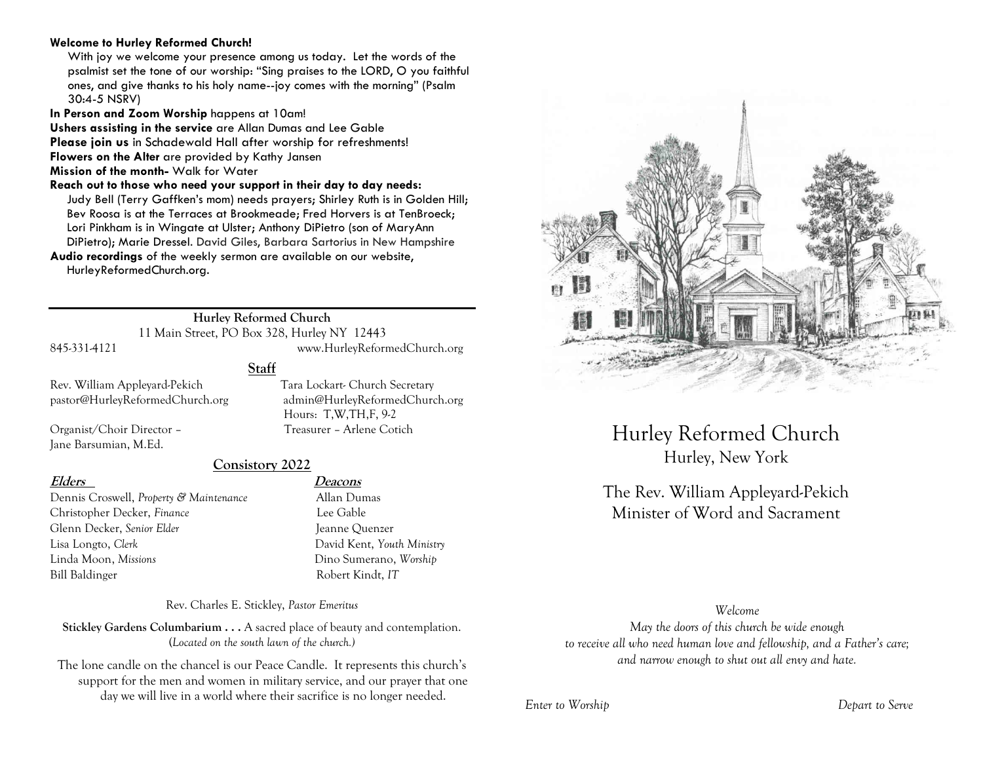### **Welcome to Hurley Reformed Church!**

With joy we welcome your presence among us today. Let the words of the psalmist set the tone of our worship: "Sing praises to the LORD, O you faithful ones, and give thanks to his holy name--joy comes with the morning" (Psalm 30:4-5 NSRV)

**In Person and Zoom Worship** happens at 10am!

**Ushers assisting in the service** are Allan Dumas and Lee Gable

**Please join us** in Schadewald Hall after worship for refreshments!

**Flowers on the Alter** are provided by Kathy Jansen

**Mission of the month-** Walk for Water

**Reach out to those who need your support in their day to day needs:** 

Judy Bell (Terry Gaffken's mom) needs prayers; Shirley Ruth is in Golden Hill; Bev Roosa is at the Terraces at Brookmeade; Fred Horvers is at TenBroeck; Lori Pinkham is in Wingate at Ulster; Anthony DiPietro (son of MaryAnn DiPietro); Marie Dressel. David Giles, Barbara Sartorius in New Hampshire

**Audio recordings** of the weekly sermon are available on our website, HurleyReformedChurch.org.

# **Hurley Reformed Church**

**Staff**

11 Main Street, PO Box 328, Hurley NY 12443 845-331-4121 www.HurleyReformedChurch.org

Rev. William Appleyard-Pekich Tara Lockart- Church Secretary pastor@HurleyReformedChurch.org admin@HurleyReformedChurch.org

Organist/Choir Director – Treasurer – Arlene Cotich Jane Barsumian, M.Ed.

# **Consistory 2022**

Dennis Croswell, *Property & Maintenance* Allan Dumas Christopher Decker, *Finance* Lee Gable Glenn Decker, *Senior Elder* Jeanne Quenzer Lisa Longto, *Clerk* David Kent, *Youth Ministry* Linda Moon, *Missions* Dino Sumerano, *Worship* Bill Baldinger Robert Kindt, *IT*

**Elders Deacons**

Hours: T,W,TH,F, 9-2

Rev. Charles E. Stickley, *Pastor Emeritus*

**Stickley Gardens Columbarium . . .** A sacred place of beauty and contemplation. (*Located on the south lawn of the church.)* 

The lone candle on the chancel is our Peace Candle. It represents this church's support for the men and women in military service, and our prayer that one day we will live in a world where their sacrifice is no longer needed.



Hurley Reformed Church Hurley, New York

# The Rev. William Appleyard-Pekich Minister of Word and Sacrament

*Welcome*

*May the doors of this church be wide enough to receive all who need human love and fellowship, and a Father's care; and narrow enough to shut out all envy and hate.*

*Enter to Worship Depart to Serve*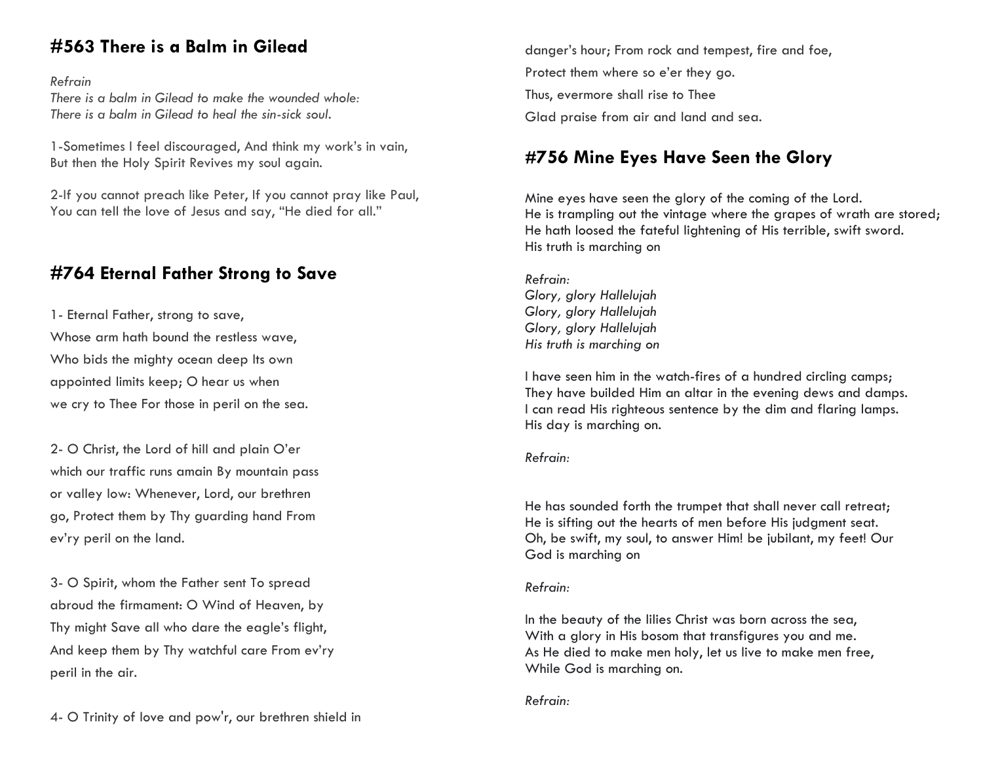# **#563 There is a Balm in Gilead**

## *Refrain*

*There is a balm in Gilead to make the wounded whole: There is a balm in Gilead to heal the sin-sick soul.*

1-Sometimes I feel discouraged, And think my work's in vain, But then the Holy Spirit Revives my soul again.

2-If you cannot preach like Peter, If you cannot pray like Paul, You can tell the love of Jesus and say, "He died for all."

# **#764 Eternal Father Strong to Save**

1- Eternal Father, strong to save, Whose arm hath bound the restless wave, Who bids the mighty ocean deep Its own appointed limits keep; O hear us when we cry to Thee For those in peril on the sea.

2- O Christ, the Lord of hill and plain O'er which our traffic runs amain By mountain pass or valley low: Whenever, Lord, our brethren go, Protect them by Thy guarding hand From ev'ry peril on the land.

3- O Spirit, whom the Father sent To spread abroud the firmament: O Wind of Heaven, by Thy might Save all who dare the eagle's flight, And keep them by Thy watchful care From ev'ry peril in the air.

danger's hour; From rock and tempest, fire and foe, Protect them where so e'er they go. Thus, evermore shall rise to Thee Glad praise from air and land and sea.

# **#756 Mine Eyes Have Seen the Glory**

Mine eyes have seen the glory of the coming of the Lord. He is trampling out the vintage where the grapes of wrath are stored; He hath loosed the fateful lightening of His terrible, swift sword. His truth is marching on

*Refrain: Glory, glory Hallelujah Glory, glory Hallelujah Glory, glory Hallelujah His truth is marching on*

I have seen him in the watch-fires of a hundred circling camps; They have builded Him an altar in the evening dews and damps. I can read His righteous sentence by the dim and flaring lamps. His day is marching on.

## *Refrain:*

He has sounded forth the trumpet that shall never call retreat; He is sifting out the hearts of men before His judgment seat. Oh, be swift, my soul, to answer Him! be jubilant, my feet! Our God is marching on

## *Refrain:*

In the beauty of the lilies Christ was born across the sea, With a glory in His bosom that transfigures you and me. As He died to make men holy, let us live to make men free, While God is marching on.

*Refrain:*